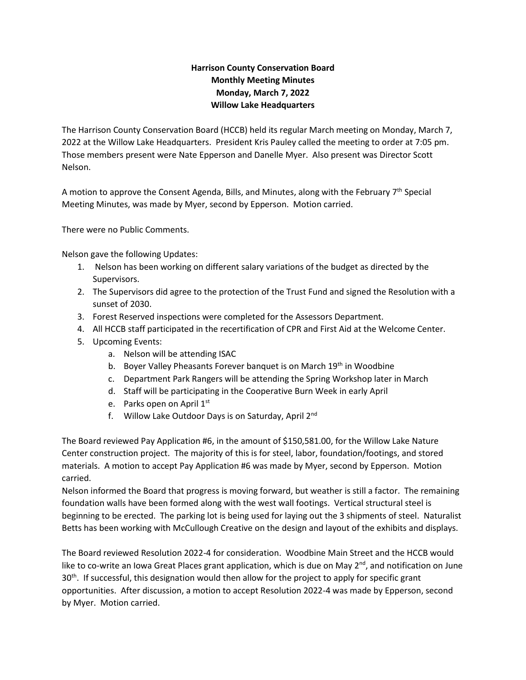## **Harrison County Conservation Board Monthly Meeting Minutes Monday, March 7, 2022 Willow Lake Headquarters**

The Harrison County Conservation Board (HCCB) held its regular March meeting on Monday, March 7, 2022 at the Willow Lake Headquarters. President Kris Pauley called the meeting to order at 7:05 pm. Those members present were Nate Epperson and Danelle Myer. Also present was Director Scott Nelson.

A motion to approve the Consent Agenda, Bills, and Minutes, along with the February  $7<sup>th</sup>$  Special Meeting Minutes, was made by Myer, second by Epperson. Motion carried.

There were no Public Comments.

Nelson gave the following Updates:

- 1. Nelson has been working on different salary variations of the budget as directed by the Supervisors.
- 2. The Supervisors did agree to the protection of the Trust Fund and signed the Resolution with a sunset of 2030.
- 3. Forest Reserved inspections were completed for the Assessors Department.
- 4. All HCCB staff participated in the recertification of CPR and First Aid at the Welcome Center.
- 5. Upcoming Events:
	- a. Nelson will be attending ISAC
	- b. Boyer Valley Pheasants Forever banquet is on March 19<sup>th</sup> in Woodbine
	- c. Department Park Rangers will be attending the Spring Workshop later in March
	- d. Staff will be participating in the Cooperative Burn Week in early April
	- e. Parks open on April 1<sup>st</sup>
	- f. Willow Lake Outdoor Days is on Saturday, April 2nd

The Board reviewed Pay Application #6, in the amount of \$150,581.00, for the Willow Lake Nature Center construction project. The majority of this is for steel, labor, foundation/footings, and stored materials. A motion to accept Pay Application #6 was made by Myer, second by Epperson. Motion carried.

Nelson informed the Board that progress is moving forward, but weather is still a factor. The remaining foundation walls have been formed along with the west wall footings. Vertical structural steel is beginning to be erected. The parking lot is being used for laying out the 3 shipments of steel. Naturalist Betts has been working with McCullough Creative on the design and layout of the exhibits and displays.

The Board reviewed Resolution 2022-4 for consideration. Woodbine Main Street and the HCCB would like to co-write an Iowa Great Places grant application, which is due on May 2<sup>nd</sup>, and notification on June  $30<sup>th</sup>$ . If successful, this designation would then allow for the project to apply for specific grant opportunities. After discussion, a motion to accept Resolution 2022-4 was made by Epperson, second by Myer. Motion carried.